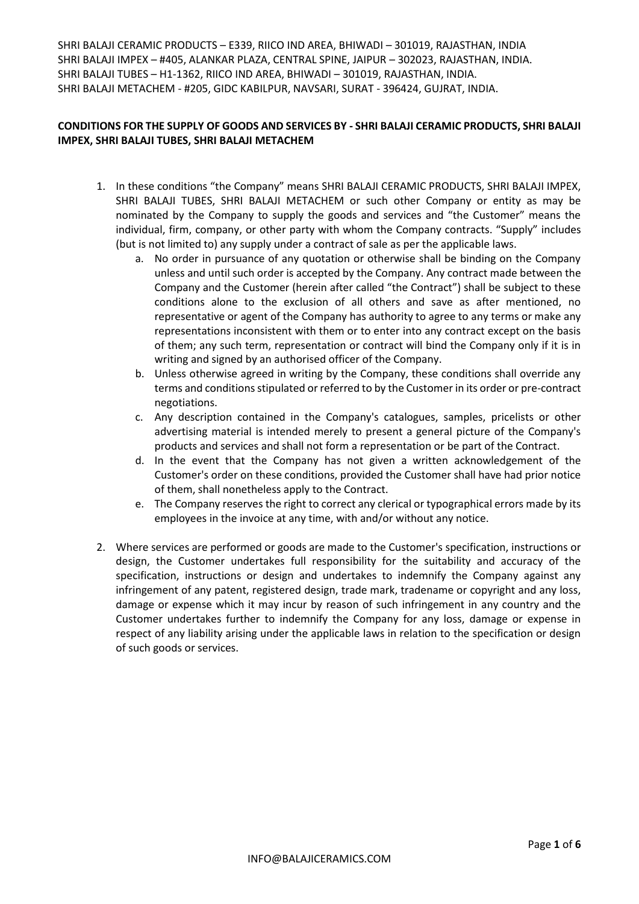## **CONDITIONS FOR THE SUPPLY OF GOODS AND SERVICES BY - SHRI BALAJI CERAMIC PRODUCTS, SHRI BALAJI IMPEX, SHRI BALAJI TUBES, SHRI BALAJI METACHEM**

- 1. In these conditions "the Company" means SHRI BALAJI CERAMIC PRODUCTS, SHRI BALAJI IMPEX, SHRI BALAJI TUBES, SHRI BALAJI METACHEM or such other Company or entity as may be nominated by the Company to supply the goods and services and "the Customer" means the individual, firm, company, or other party with whom the Company contracts. "Supply" includes (but is not limited to) any supply under a contract of sale as per the applicable laws.
	- No order in pursuance of any quotation or otherwise shall be binding on the Company unless and until such order is accepted by the Company. Any contract made between the Company and the Customer (herein after called "the Contract") shall be subject to these conditions alone to the exclusion of all others and save as after mentioned, no representative or agent of the Company has authority to agree to any terms or make any representations inconsistent with them or to enter into any contract except on the basis of them; any such term, representation or contract will bind the Company only if it is in writing and signed by an authorised officer of the Company.
	- b. Unless otherwise agreed in writing by the Company, these conditions shall override any terms and conditions stipulated or referred to by the Customer in its order or pre-contract negotiations.
	- c. Any description contained in the Company's catalogues, samples, pricelists or other advertising material is intended merely to present a general picture of the Company's products and services and shall not form a representation or be part of the Contract.
	- d. In the event that the Company has not given a written acknowledgement of the Customer's order on these conditions, provided the Customer shall have had prior notice of them, shall nonetheless apply to the Contract.
	- e. The Company reserves the right to correct any clerical or typographical errors made by its employees in the invoice at any time, with and/or without any notice.
- 2. Where services are performed or goods are made to the Customer's specification, instructions or design, the Customer undertakes full responsibility for the suitability and accuracy of the specification, instructions or design and undertakes to indemnify the Company against any infringement of any patent, registered design, trade mark, tradename or copyright and any loss, damage or expense which it may incur by reason of such infringement in any country and the Customer undertakes further to indemnify the Company for any loss, damage or expense in respect of any liability arising under the applicable laws in relation to the specification or design of such goods or services.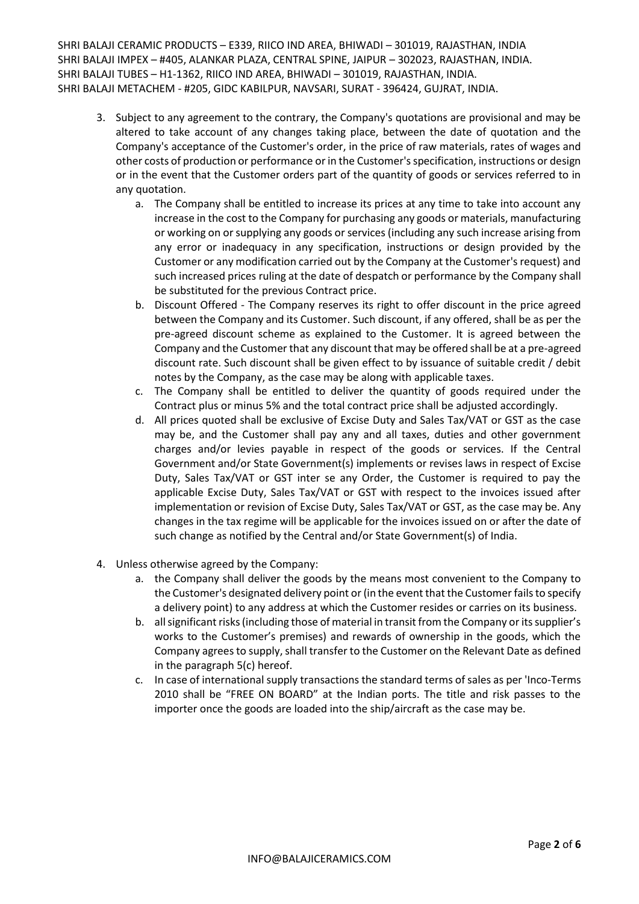- 3. Subject to any agreement to the contrary, the Company's quotations are provisional and may be altered to take account of any changes taking place, between the date of quotation and the Company's acceptance of the Customer's order, in the price of raw materials, rates of wages and other costs of production or performance or in the Customer's specification, instructions or design or in the event that the Customer orders part of the quantity of goods or services referred to in any quotation.
	- a. The Company shall be entitled to increase its prices at any time to take into account any increase in the cost to the Company for purchasing any goods or materials, manufacturing or working on or supplying any goods or services (including any such increase arising from any error or inadequacy in any specification, instructions or design provided by the Customer or any modification carried out by the Company at the Customer's request) and such increased prices ruling at the date of despatch or performance by the Company shall be substituted for the previous Contract price.
	- b. Discount Offered The Company reserves its right to offer discount in the price agreed between the Company and its Customer. Such discount, if any offered, shall be as per the pre-agreed discount scheme as explained to the Customer. It is agreed between the Company and the Customer that any discount that may be offered shall be at a pre-agreed discount rate. Such discount shall be given effect to by issuance of suitable credit / debit notes by the Company, as the case may be along with applicable taxes.
	- c. The Company shall be entitled to deliver the quantity of goods required under the Contract plus or minus 5% and the total contract price shall be adjusted accordingly.
	- d. All prices quoted shall be exclusive of Excise Duty and Sales Tax/VAT or GST as the case may be, and the Customer shall pay any and all taxes, duties and other government charges and/or levies payable in respect of the goods or services. If the Central Government and/or State Government(s) implements or revises laws in respect of Excise Duty, Sales Tax/VAT or GST inter se any Order, the Customer is required to pay the applicable Excise Duty, Sales Tax/VAT or GST with respect to the invoices issued after implementation or revision of Excise Duty, Sales Tax/VAT or GST, as the case may be. Any changes in the tax regime will be applicable for the invoices issued on or after the date of such change as notified by the Central and/or State Government(s) of India.
- 4. Unless otherwise agreed by the Company:
	- a. the Company shall deliver the goods by the means most convenient to the Company to the Customer's designated delivery point or (in the event that the Customer fails to specify a delivery point) to any address at which the Customer resides or carries on its business.
	- b. all significant risks (including those of material in transit from the Company or its supplier's works to the Customer's premises) and rewards of ownership in the goods, which the Company agrees to supply, shall transfer to the Customer on the Relevant Date as defined in the paragraph 5(c) hereof.
	- c. In case of international supply transactions the standard terms of sales as per 'Inco-Terms 2010 shall be "FREE ON BOARD" at the Indian ports. The title and risk passes to the importer once the goods are loaded into the ship/aircraft as the case may be.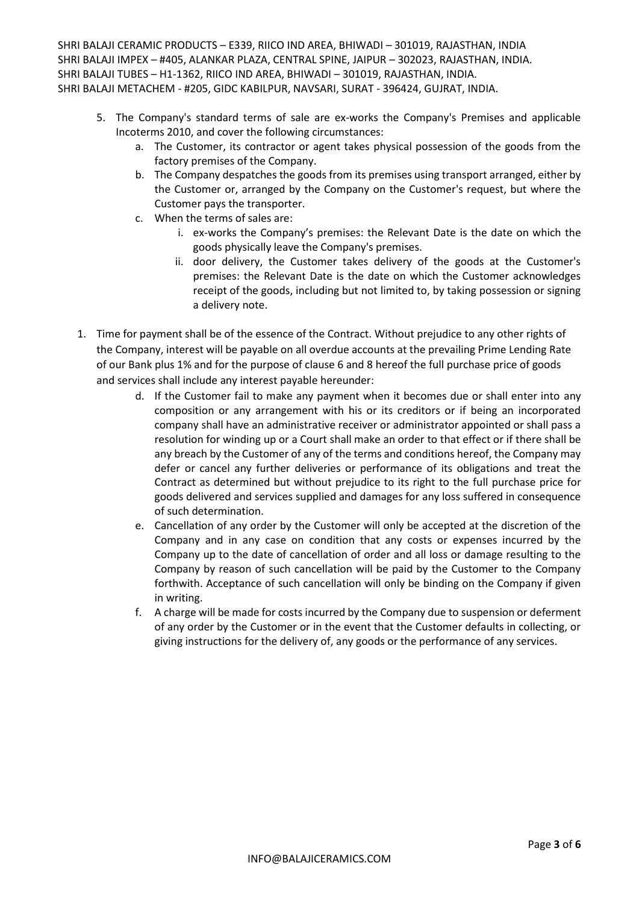- 5. The Company's standard terms of sale are ex-works the Company's Premises and applicable Incoterms 2010, and cover the following circumstances:
	- a. The Customer, its contractor or agent takes physical possession of the goods from the factory premises of the Company.
	- b. The Company despatches the goods from its premises using transport arranged, either by the Customer or, arranged by the Company on the Customer's request, but where the Customer pays the transporter.
	- c. When the terms of sales are:
		- i. ex-works the Company's premises: the Relevant Date is the date on which the goods physically leave the Company's premises.
		- ii. door delivery, the Customer takes delivery of the goods at the Customer's premises: the Relevant Date is the date on which the Customer acknowledges receipt of the goods, including but not limited to, by taking possession or signing a delivery note.
- 1. Time for payment shall be of the essence of the Contract. Without prejudice to any other rights of the Company, interest will be payable on all overdue accounts at the prevailing Prime Lending Rate of our Bank plus 1% and for the purpose of clause 6 and 8 hereof the full purchase price of goods and services shall include any interest payable hereunder:
	- d. If the Customer fail to make any payment when it becomes due or shall enter into any composition or any arrangement with his or its creditors or if being an incorporated company shall have an administrative receiver or administrator appointed or shall pass a resolution for winding up or a Court shall make an order to that effect or if there shall be any breach by the Customer of any of the terms and conditions hereof, the Company may defer or cancel any further deliveries or performance of its obligations and treat the Contract as determined but without prejudice to its right to the full purchase price for goods delivered and services supplied and damages for any loss suffered in consequence of such determination.
	- e. Cancellation of any order by the Customer will only be accepted at the discretion of the Company and in any case on condition that any costs or expenses incurred by the Company up to the date of cancellation of order and all loss or damage resulting to the Company by reason of such cancellation will be paid by the Customer to the Company forthwith. Acceptance of such cancellation will only be binding on the Company if given in writing.
	- f. A charge will be made for costs incurred by the Company due to suspension or deferment of any order by the Customer or in the event that the Customer defaults in collecting, or giving instructions for the delivery of, any goods or the performance of any services.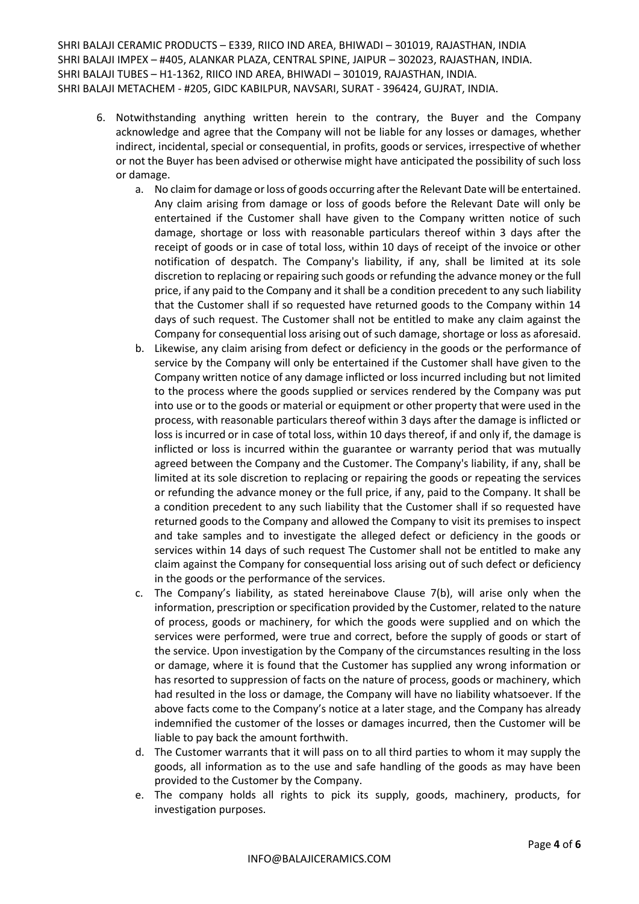- 6. Notwithstanding anything written herein to the contrary, the Buyer and the Company acknowledge and agree that the Company will not be liable for any losses or damages, whether indirect, incidental, special or consequential, in profits, goods or services, irrespective of whether or not the Buyer has been advised or otherwise might have anticipated the possibility of such loss or damage.
	- a. No claim for damage or loss of goods occurring after the Relevant Date will be entertained. Any claim arising from damage or loss of goods before the Relevant Date will only be entertained if the Customer shall have given to the Company written notice of such damage, shortage or loss with reasonable particulars thereof within 3 days after the receipt of goods or in case of total loss, within 10 days of receipt of the invoice or other notification of despatch. The Company's liability, if any, shall be limited at its sole discretion to replacing or repairing such goods or refunding the advance money or the full price, if any paid to the Company and it shall be a condition precedent to any such liability that the Customer shall if so requested have returned goods to the Company within 14 days of such request. The Customer shall not be entitled to make any claim against the Company for consequential loss arising out of such damage, shortage or loss as aforesaid.
	- b. Likewise, any claim arising from defect or deficiency in the goods or the performance of service by the Company will only be entertained if the Customer shall have given to the Company written notice of any damage inflicted or loss incurred including but not limited to the process where the goods supplied or services rendered by the Company was put into use or to the goods or material or equipment or other property that were used in the process, with reasonable particulars thereof within 3 days after the damage is inflicted or loss is incurred or in case of total loss, within 10 days thereof, if and only if, the damage is inflicted or loss is incurred within the guarantee or warranty period that was mutually agreed between the Company and the Customer. The Company's liability, if any, shall be limited at its sole discretion to replacing or repairing the goods or repeating the services or refunding the advance money or the full price, if any, paid to the Company. It shall be a condition precedent to any such liability that the Customer shall if so requested have returned goods to the Company and allowed the Company to visit its premises to inspect and take samples and to investigate the alleged defect or deficiency in the goods or services within 14 days of such request The Customer shall not be entitled to make any claim against the Company for consequential loss arising out of such defect or deficiency in the goods or the performance of the services.
	- c. The Company's liability, as stated hereinabove Clause 7(b), will arise only when the information, prescription or specification provided by the Customer, related to the nature of process, goods or machinery, for which the goods were supplied and on which the services were performed, were true and correct, before the supply of goods or start of the service. Upon investigation by the Company of the circumstances resulting in the loss or damage, where it is found that the Customer has supplied any wrong information or has resorted to suppression of facts on the nature of process, goods or machinery, which had resulted in the loss or damage, the Company will have no liability whatsoever. If the above facts come to the Company's notice at a later stage, and the Company has already indemnified the customer of the losses or damages incurred, then the Customer will be liable to pay back the amount forthwith.
	- d. The Customer warrants that it will pass on to all third parties to whom it may supply the goods, all information as to the use and safe handling of the goods as may have been provided to the Customer by the Company.
	- e. The company holds all rights to pick its supply, goods, machinery, products, for investigation purposes.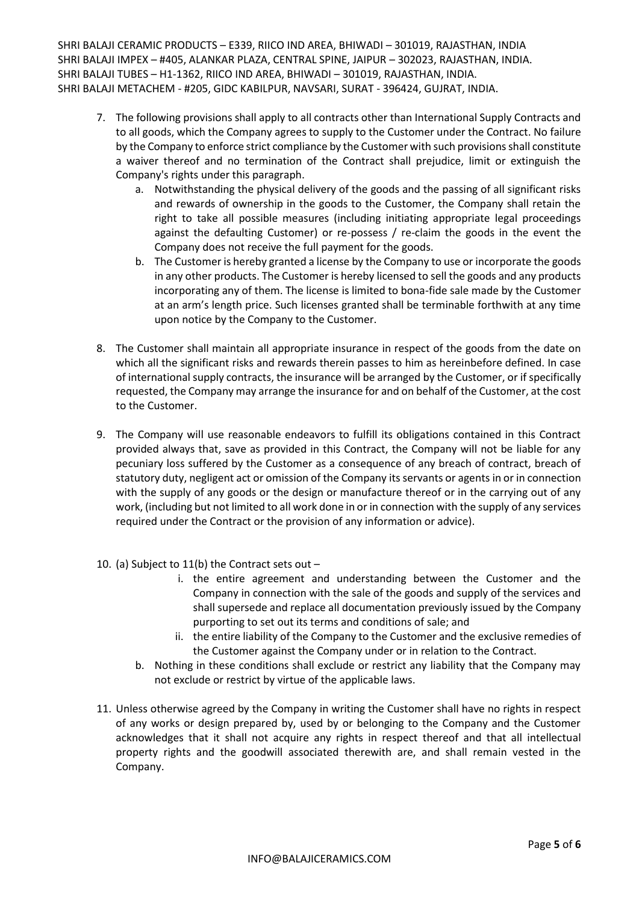- 7. The following provisions shall apply to all contracts other than International Supply Contracts and to all goods, which the Company agrees to supply to the Customer under the Contract. No failure by the Company to enforce strict compliance by the Customer with such provisions shall constitute a waiver thereof and no termination of the Contract shall prejudice, limit or extinguish the Company's rights under this paragraph.
	- a. Notwithstanding the physical delivery of the goods and the passing of all significant risks and rewards of ownership in the goods to the Customer, the Company shall retain the right to take all possible measures (including initiating appropriate legal proceedings against the defaulting Customer) or re-possess / re-claim the goods in the event the Company does not receive the full payment for the goods.
	- b. The Customer is hereby granted a license by the Company to use or incorporate the goods in any other products. The Customer is hereby licensed to sell the goods and any products incorporating any of them. The license is limited to bona-fide sale made by the Customer at an arm's length price. Such licenses granted shall be terminable forthwith at any time upon notice by the Company to the Customer.
- 8. The Customer shall maintain all appropriate insurance in respect of the goods from the date on which all the significant risks and rewards therein passes to him as hereinbefore defined. In case of international supply contracts, the insurance will be arranged by the Customer, or if specifically requested, the Company may arrange the insurance for and on behalf of the Customer, at the cost to the Customer.
- 9. The Company will use reasonable endeavors to fulfill its obligations contained in this Contract provided always that, save as provided in this Contract, the Company will not be liable for any pecuniary loss suffered by the Customer as a consequence of any breach of contract, breach of statutory duty, negligent act or omission of the Company its servants or agents in or in connection with the supply of any goods or the design or manufacture thereof or in the carrying out of any work, (including but not limited to all work done in or in connection with the supply of any services required under the Contract or the provision of any information or advice).
- 10. (a) Subject to 11(b) the Contract sets out
	- i. the entire agreement and understanding between the Customer and the Company in connection with the sale of the goods and supply of the services and shall supersede and replace all documentation previously issued by the Company purporting to set out its terms and conditions of sale; and
	- ii. the entire liability of the Company to the Customer and the exclusive remedies of the Customer against the Company under or in relation to the Contract.
	- b. Nothing in these conditions shall exclude or restrict any liability that the Company may not exclude or restrict by virtue of the applicable laws.
- 11. Unless otherwise agreed by the Company in writing the Customer shall have no rights in respect of any works or design prepared by, used by or belonging to the Company and the Customer acknowledges that it shall not acquire any rights in respect thereof and that all intellectual property rights and the goodwill associated therewith are, and shall remain vested in the Company.